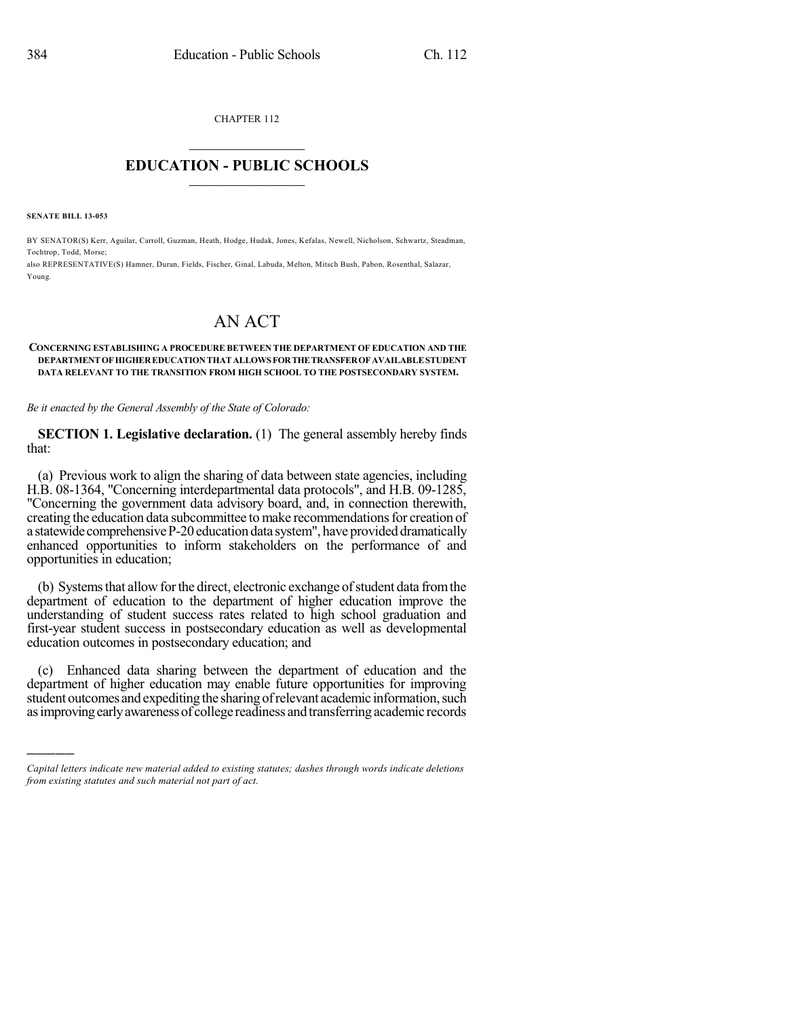CHAPTER 112  $\mathcal{L}_\text{max}$  . The set of the set of the set of the set of the set of the set of the set of the set of the set of the set of the set of the set of the set of the set of the set of the set of the set of the set of the set

## **EDUCATION - PUBLIC SCHOOLS**  $\_$   $\_$   $\_$   $\_$   $\_$   $\_$   $\_$   $\_$   $\_$

**SENATE BILL 13-053**

)))))

BY SENATOR(S) Kerr, Aguilar, Carroll, Guzman, Heath, Hodge, Hudak, Jones, Kefalas, Newell, Nicholson, Schwartz, Steadman, Tochtrop, Todd, Morse;

also REPRESENTATIVE(S) Hamner, Duran, Fields, Fischer, Ginal, Labuda, Melton, Mitsch Bush, Pabon, Rosenthal, Salazar, Young.

## AN ACT

## **CONCERNING ESTABLISHING A PROCEDURE BETWEEN THE DEPARTMENT OF EDUCATION AND THE DEPARTMENT OF HIGHEREDUCATIONTHAT ALLOWS FORTHETRANSFEROF AVAILABLESTUDENT DATA RELEVANT TO THE TRANSITION FROM HIGH SCHOOL TO THE POSTSECONDARY SYSTEM.**

*Be it enacted by the General Assembly of the State of Colorado:*

**SECTION 1. Legislative declaration.** (1) The general assembly hereby finds that:

(a) Previous work to align the sharing of data between state agencies, including H.B. 08-1364, "Concerning interdepartmental data protocols", and H.B. 09-1285, "Concerning the government data advisory board, and, in connection therewith, creating the education data subcommittee to make recommendations for creation of a statewide comprehensive P-20 education data system", have provided dramatically enhanced opportunities to inform stakeholders on the performance of and opportunities in education;

(b) Systems that allow for the direct, electronic exchange of student data from the department of education to the department of higher education improve the understanding of student success rates related to high school graduation and first-year student success in postsecondary education as well as developmental education outcomes in postsecondary education; and

(c) Enhanced data sharing between the department of education and the department of higher education may enable future opportunities for improving student outcomes and expediting the sharing of relevant academic information, such asimprovingearlyawarenessof college readiness andtransferringacademic records

*Capital letters indicate new material added to existing statutes; dashes through words indicate deletions from existing statutes and such material not part of act.*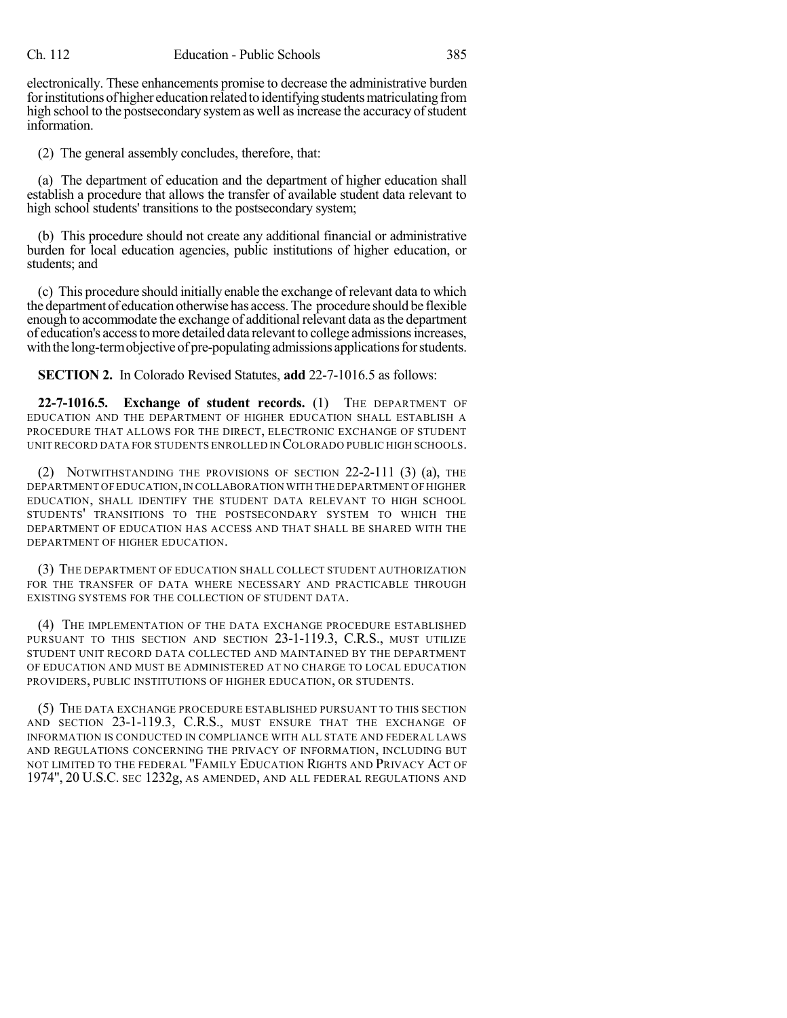electronically. These enhancements promise to decrease the administrative burden for institutions of higher education related to identifying students matriculating from high school to the postsecondary system as well as increase the accuracy of student information.

(2) The general assembly concludes, therefore, that:

(a) The department of education and the department of higher education shall establish a procedure that allows the transfer of available student data relevant to high school students' transitions to the postsecondary system;

(b) This procedure should not create any additional financial or administrative burden for local education agencies, public institutions of higher education, or students; and

(c) This procedure should initially enable the exchange of relevant data to which the department of education otherwise has access.The procedure should be flexible enough to accommodate the exchange of additional relevant data asthe department of education's accesstomore detailed data relevant to college admissionsincreases, with the long-term objective of pre-populating admissions applications for students.

**SECTION 2.** In Colorado Revised Statutes, **add** 22-7-1016.5 as follows:

**22-7-1016.5. Exchange of student records.** (1) THE DEPARTMENT OF EDUCATION AND THE DEPARTMENT OF HIGHER EDUCATION SHALL ESTABLISH A PROCEDURE THAT ALLOWS FOR THE DIRECT, ELECTRONIC EXCHANGE OF STUDENT UNIT RECORD DATA FOR STUDENTS ENROLLED IN COLORADO PUBLIC HIGH SCHOOLS.

(2) NOTWITHSTANDING THE PROVISIONS OF SECTION 22-2-111 (3) (a), THE DEPARTMENT OF EDUCATION,IN COLLABORATION WITH THE DEPARTMENT OF HIGHER EDUCATION, SHALL IDENTIFY THE STUDENT DATA RELEVANT TO HIGH SCHOOL STUDENTS' TRANSITIONS TO THE POSTSECONDARY SYSTEM TO WHICH THE DEPARTMENT OF EDUCATION HAS ACCESS AND THAT SHALL BE SHARED WITH THE DEPARTMENT OF HIGHER EDUCATION.

(3) THE DEPARTMENT OF EDUCATION SHALL COLLECT STUDENT AUTHORIZATION FOR THE TRANSFER OF DATA WHERE NECESSARY AND PRACTICABLE THROUGH EXISTING SYSTEMS FOR THE COLLECTION OF STUDENT DATA.

(4) THE IMPLEMENTATION OF THE DATA EXCHANGE PROCEDURE ESTABLISHED PURSUANT TO THIS SECTION AND SECTION 23-1-119.3, C.R.S., MUST UTILIZE STUDENT UNIT RECORD DATA COLLECTED AND MAINTAINED BY THE DEPARTMENT OF EDUCATION AND MUST BE ADMINISTERED AT NO CHARGE TO LOCAL EDUCATION PROVIDERS, PUBLIC INSTITUTIONS OF HIGHER EDUCATION, OR STUDENTS.

(5) THE DATA EXCHANGE PROCEDURE ESTABLISHED PURSUANT TO THIS SECTION AND SECTION 23-1-119.3, C.R.S., MUST ENSURE THAT THE EXCHANGE OF INFORMATION IS CONDUCTED IN COMPLIANCE WITH ALL STATE AND FEDERAL LAWS AND REGULATIONS CONCERNING THE PRIVACY OF INFORMATION, INCLUDING BUT NOT LIMITED TO THE FEDERAL "FAMILY EDUCATION RIGHTS AND PRIVACY ACT OF 1974", 20 U.S.C. SEC 1232g, AS AMENDED, AND ALL FEDERAL REGULATIONS AND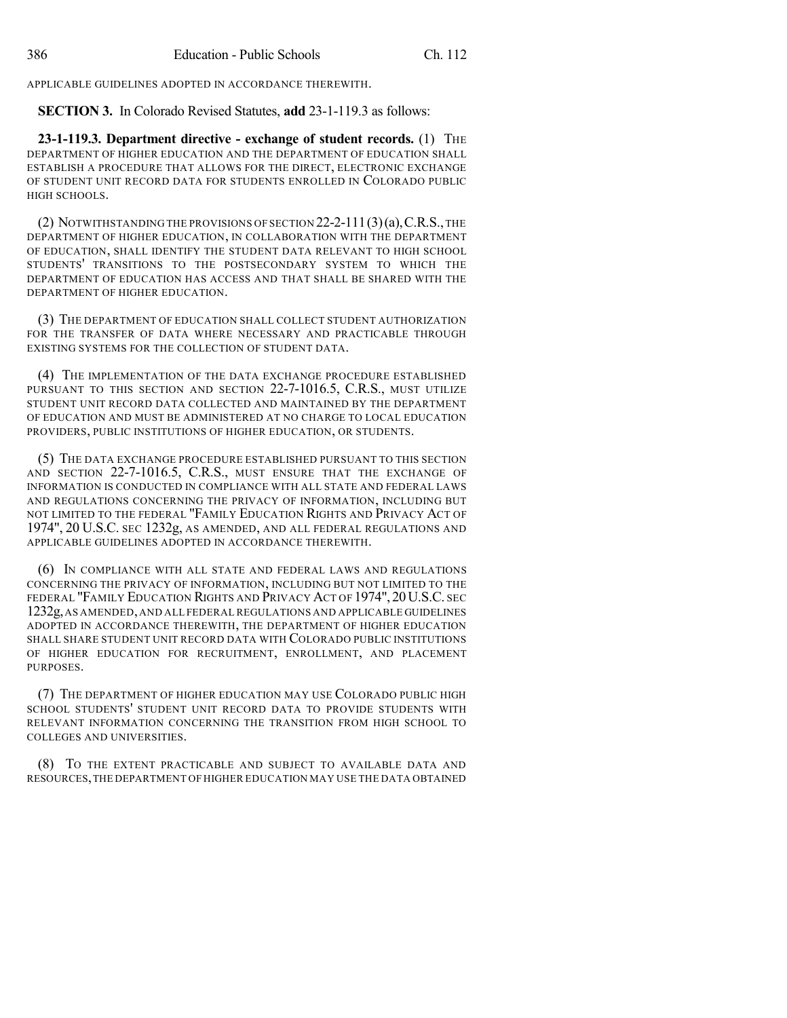APPLICABLE GUIDELINES ADOPTED IN ACCORDANCE THEREWITH.

**SECTION 3.** In Colorado Revised Statutes, **add** 23-1-119.3 as follows:

**23-1-119.3. Department directive - exchange of student records.** (1) THE DEPARTMENT OF HIGHER EDUCATION AND THE DEPARTMENT OF EDUCATION SHALL ESTABLISH A PROCEDURE THAT ALLOWS FOR THE DIRECT, ELECTRONIC EXCHANGE OF STUDENT UNIT RECORD DATA FOR STUDENTS ENROLLED IN COLORADO PUBLIC HIGH SCHOOLS.

(2) NOTWITHSTANDING THE PROVISIONS OF SECTION 22-2-111(3)(a),C.R.S.,THE DEPARTMENT OF HIGHER EDUCATION, IN COLLABORATION WITH THE DEPARTMENT OF EDUCATION, SHALL IDENTIFY THE STUDENT DATA RELEVANT TO HIGH SCHOOL STUDENTS' TRANSITIONS TO THE POSTSECONDARY SYSTEM TO WHICH THE DEPARTMENT OF EDUCATION HAS ACCESS AND THAT SHALL BE SHARED WITH THE DEPARTMENT OF HIGHER EDUCATION.

(3) THE DEPARTMENT OF EDUCATION SHALL COLLECT STUDENT AUTHORIZATION FOR THE TRANSFER OF DATA WHERE NECESSARY AND PRACTICABLE THROUGH EXISTING SYSTEMS FOR THE COLLECTION OF STUDENT DATA.

(4) THE IMPLEMENTATION OF THE DATA EXCHANGE PROCEDURE ESTABLISHED PURSUANT TO THIS SECTION AND SECTION 22-7-1016.5, C.R.S., MUST UTILIZE STUDENT UNIT RECORD DATA COLLECTED AND MAINTAINED BY THE DEPARTMENT OF EDUCATION AND MUST BE ADMINISTERED AT NO CHARGE TO LOCAL EDUCATION PROVIDERS, PUBLIC INSTITUTIONS OF HIGHER EDUCATION, OR STUDENTS.

(5) THE DATA EXCHANGE PROCEDURE ESTABLISHED PURSUANT TO THIS SECTION AND SECTION 22-7-1016.5, C.R.S., MUST ENSURE THAT THE EXCHANGE OF INFORMATION IS CONDUCTED IN COMPLIANCE WITH ALL STATE AND FEDERAL LAWS AND REGULATIONS CONCERNING THE PRIVACY OF INFORMATION, INCLUDING BUT NOT LIMITED TO THE FEDERAL "FAMILY EDUCATION RIGHTS AND PRIVACY ACT OF 1974", 20 U.S.C. SEC 1232g, AS AMENDED, AND ALL FEDERAL REGULATIONS AND APPLICABLE GUIDELINES ADOPTED IN ACCORDANCE THEREWITH.

(6) IN COMPLIANCE WITH ALL STATE AND FEDERAL LAWS AND REGULATIONS CONCERNING THE PRIVACY OF INFORMATION, INCLUDING BUT NOT LIMITED TO THE FEDERAL "FAMILY EDUCATION RIGHTS AND PRIVACY ACT OF 1974", 20U.S.C. SEC 1232g,AS AMENDED,AND ALL FEDERAL REGULATIONS AND APPLICABLE GUIDELINES ADOPTED IN ACCORDANCE THEREWITH, THE DEPARTMENT OF HIGHER EDUCATION SHALL SHARE STUDENT UNIT RECORD DATA WITH COLORADO PUBLIC INSTITUTIONS OF HIGHER EDUCATION FOR RECRUITMENT, ENROLLMENT, AND PLACEMENT PURPOSES.

(7) THE DEPARTMENT OF HIGHER EDUCATION MAY USE COLORADO PUBLIC HIGH SCHOOL STUDENTS' STUDENT UNIT RECORD DATA TO PROVIDE STUDENTS WITH RELEVANT INFORMATION CONCERNING THE TRANSITION FROM HIGH SCHOOL TO COLLEGES AND UNIVERSITIES.

(8) TO THE EXTENT PRACTICABLE AND SUBJECT TO AVAILABLE DATA AND RESOURCES,THE DEPARTMENT OF HIGHER EDUCATION MAY USE THE DATA OBTAINED